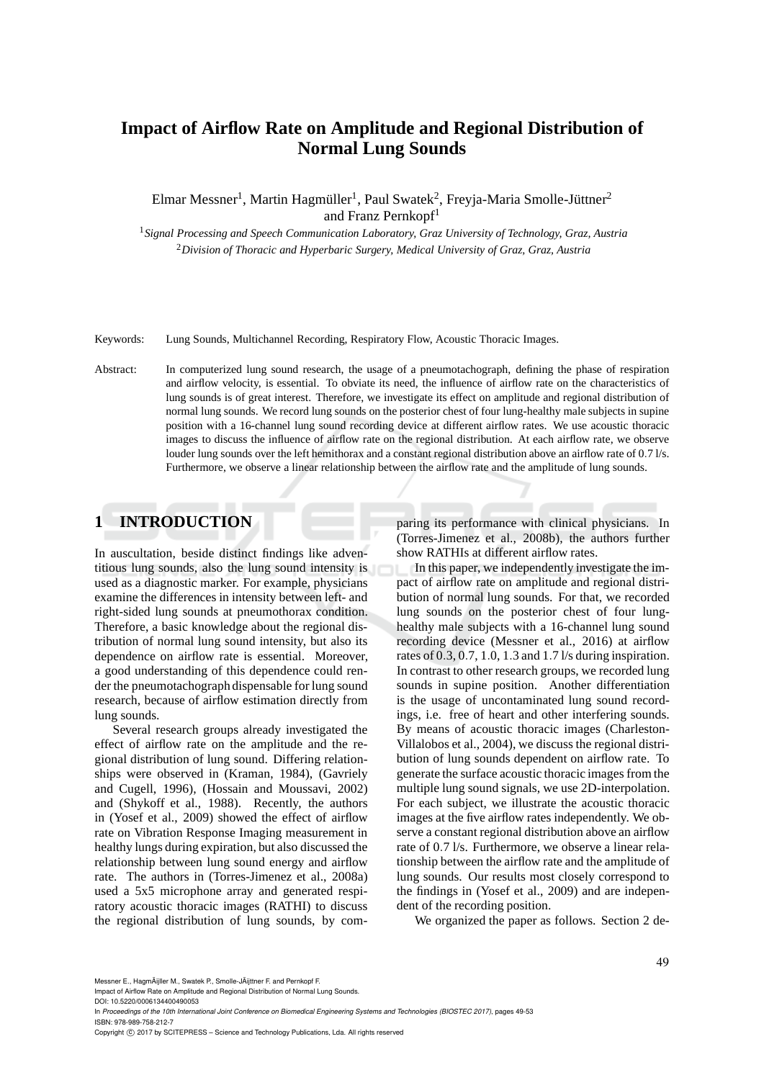# **Impact of Airflow Rate on Amplitude and Regional Distribution of Normal Lung Sounds**

Elmar Messner<sup>1</sup>, Martin Hagmüller<sup>1</sup>, Paul Swatek<sup>2</sup>, Freyja-Maria Smolle-Jüttner<sup>2</sup> and Franz Pernkopf<sup>1</sup>

<sup>1</sup>*Signal Processing and Speech Communication Laboratory, Graz University of Technology, Graz, Austria* <sup>2</sup>*Division of Thoracic and Hyperbaric Surgery, Medical University of Graz, Graz, Austria*

Keywords: Lung Sounds, Multichannel Recording, Respiratory Flow, Acoustic Thoracic Images.

Abstract: In computerized lung sound research, the usage of a pneumotachograph, defining the phase of respiration and airflow velocity, is essential. To obviate its need, the influence of airflow rate on the characteristics of lung sounds is of great interest. Therefore, we investigate its effect on amplitude and regional distribution of normal lung sounds. We record lung sounds on the posterior chest of four lung-healthy male subjects in supine position with a 16-channel lung sound recording device at different airflow rates. We use acoustic thoracic images to discuss the influence of airflow rate on the regional distribution. At each airflow rate, we observe louder lung sounds over the left hemithorax and a constant regional distribution above an airflow rate of 0.7 l/s. Furthermore, we observe a linear relationship between the airflow rate and the amplitude of lung sounds.

# **1 INTRODUCTION**

In auscultation, beside distinct findings like adventitious lung sounds, also the lung sound intensity is used as a diagnostic marker. For example, physicians examine the differences in intensity between left- and right-sided lung sounds at pneumothorax condition. Therefore, a basic knowledge about the regional distribution of normal lung sound intensity, but also its dependence on airflow rate is essential. Moreover, a good understanding of this dependence could render the pneumotachograph dispensable for lung sound research, because of airflow estimation directly from lung sounds.

Several research groups already investigated the effect of airflow rate on the amplitude and the regional distribution of lung sound. Differing relationships were observed in (Kraman, 1984), (Gavriely and Cugell, 1996), (Hossain and Moussavi, 2002) and (Shykoff et al., 1988). Recently, the authors in (Yosef et al., 2009) showed the effect of airflow rate on Vibration Response Imaging measurement in healthy lungs during expiration, but also discussed the relationship between lung sound energy and airflow rate. The authors in (Torres-Jimenez et al., 2008a) used a 5x5 microphone array and generated respiratory acoustic thoracic images (RATHI) to discuss the regional distribution of lung sounds, by comparing its performance with clinical physicians. In (Torres-Jimenez et al., 2008b), the authors further show RATHIs at different airflow rates.

In this paper, we independently investigate the impact of airflow rate on amplitude and regional distribution of normal lung sounds. For that, we recorded lung sounds on the posterior chest of four lunghealthy male subjects with a 16-channel lung sound recording device (Messner et al., 2016) at airflow rates of 0.3, 0.7, 1.0, 1.3 and 1.7 l/s during inspiration. In contrast to other research groups, we recorded lung sounds in supine position. Another differentiation is the usage of uncontaminated lung sound recordings, i.e. free of heart and other interfering sounds. By means of acoustic thoracic images (Charleston-Villalobos et al., 2004), we discuss the regional distribution of lung sounds dependent on airflow rate. To generate the surface acoustic thoracic images from the multiple lung sound signals, we use 2D-interpolation. For each subject, we illustrate the acoustic thoracic images at the five airflow rates independently. We observe a constant regional distribution above an airflow rate of 0.7 l/s. Furthermore, we observe a linear relationship between the airflow rate and the amplitude of lung sounds. Our results most closely correspond to the findings in (Yosef et al., 2009) and are independent of the recording position.

We organized the paper as follows. Section 2 de-

Messner E., HagmÃijller M., Swatek P., Smolle-JÃijttner F. and Pernkopf F.

Impact of Airflow Rate on Amplitude and Regional Distribution of Normal Lung Sounds. DOI: 10.5220/0006134400490053

In *Proceedings of the 10th International Joint Conference on Biomedical Engineering Systems and Technologies (BIOSTEC 2017)*, pages 49-53 ISBN: 978-989-758-212-7

Copyright © 2017 by SCITEPRESS - Science and Technology Publications, Lda. All rights reserved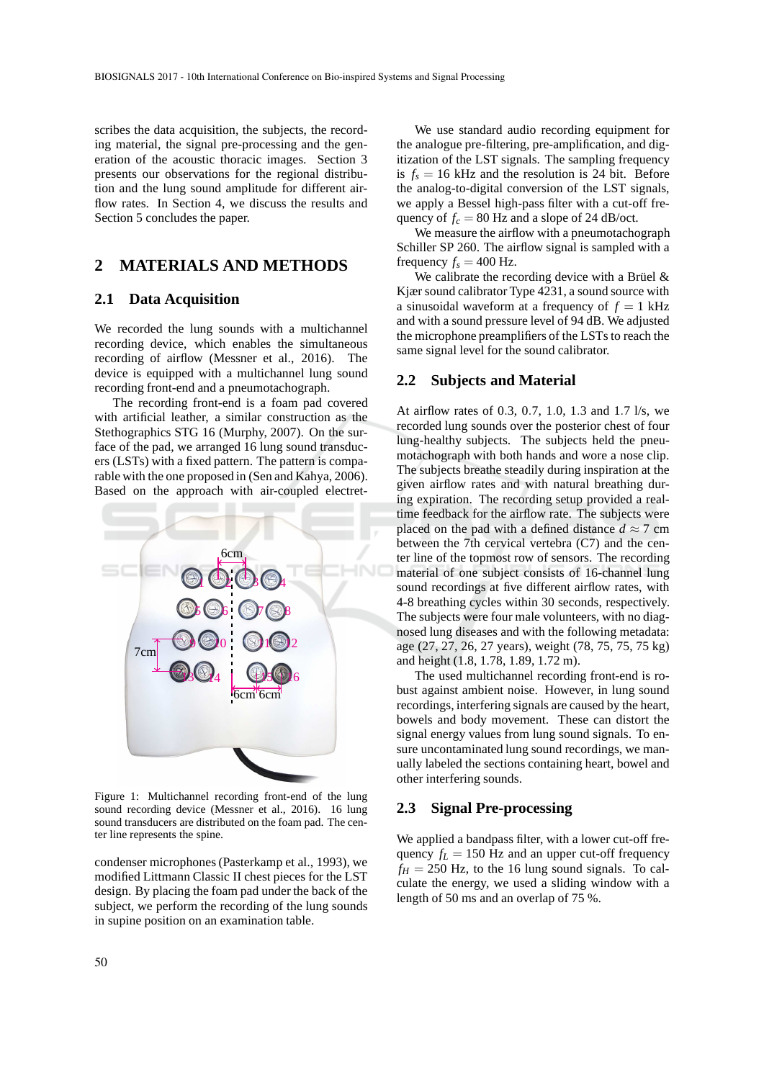scribes the data acquisition, the subjects, the recording material, the signal pre-processing and the generation of the acoustic thoracic images. Section 3 presents our observations for the regional distribution and the lung sound amplitude for different airflow rates. In Section 4, we discuss the results and Section 5 concludes the paper.

# **2 MATERIALS AND METHODS**

### **2.1 Data Acquisition**

We recorded the lung sounds with a multichannel recording device, which enables the simultaneous recording of airflow (Messner et al., 2016). The device is equipped with a multichannel lung sound recording front-end and a pneumotachograph.

The recording front-end is a foam pad covered with artificial leather, a similar construction as the Stethographics STG 16 (Murphy, 2007). On the surface of the pad, we arranged 16 lung sound transducers (LSTs) with a fixed pattern. The pattern is comparable with the one proposed in (Sen and Kahya, 2006). Based on the approach with air-coupled electret-



Figure 1: Multichannel recording front-end of the lung sound recording device (Messner et al., 2016). 16 lung sound transducers are distributed on the foam pad. The center line represents the spine.

condenser microphones (Pasterkamp et al., 1993), we modified Littmann Classic II chest pieces for the LST design. By placing the foam pad under the back of the subject, we perform the recording of the lung sounds in supine position on an examination table.

We use standard audio recording equipment for the analogue pre-filtering, pre-amplification, and digitization of the LST signals. The sampling frequency is  $f_s = 16$  kHz and the resolution is 24 bit. Before the analog-to-digital conversion of the LST signals, we apply a Bessel high-pass filter with a cut-off frequency of  $f_c = 80$  Hz and a slope of 24 dB/oct.

We measure the airflow with a pneumotachograph Schiller SP 260. The airflow signal is sampled with a frequency  $f_s = 400$  Hz.

We calibrate the recording device with a Brüel  $\&$ Kjær sound calibrator Type 4231, a sound source with a sinusoidal waveform at a frequency of  $f = 1$  kHz and with a sound pressure level of 94 dB. We adjusted the microphone preamplifiers of the LSTs to reach the same signal level for the sound calibrator.

#### **2.2 Subjects and Material**

At airflow rates of 0.3, 0.7, 1.0, 1.3 and 1.7 l/s, we recorded lung sounds over the posterior chest of four lung-healthy subjects. The subjects held the pneumotachograph with both hands and wore a nose clip. The subjects breathe steadily during inspiration at the given airflow rates and with natural breathing during expiration. The recording setup provided a realtime feedback for the airflow rate. The subjects were placed on the pad with a defined distance  $d \approx 7$  cm between the 7th cervical vertebra (C7) and the center line of the topmost row of sensors. The recording material of one subject consists of 16-channel lung sound recordings at five different airflow rates, with 4-8 breathing cycles within 30 seconds, respectively. The subjects were four male volunteers, with no diagnosed lung diseases and with the following metadata: age (27, 27, 26, 27 years), weight (78, 75, 75, 75 kg) and height (1.8, 1.78, 1.89, 1.72 m).

The used multichannel recording front-end is robust against ambient noise. However, in lung sound recordings, interfering signals are caused by the heart, bowels and body movement. These can distort the signal energy values from lung sound signals. To ensure uncontaminated lung sound recordings, we manually labeled the sections containing heart, bowel and other interfering sounds.

### **2.3 Signal Pre-processing**

We applied a bandpass filter, with a lower cut-off frequency  $f_L = 150$  Hz and an upper cut-off frequency  $f_H = 250$  Hz, to the 16 lung sound signals. To calculate the energy, we used a sliding window with a length of 50 ms and an overlap of 75 %.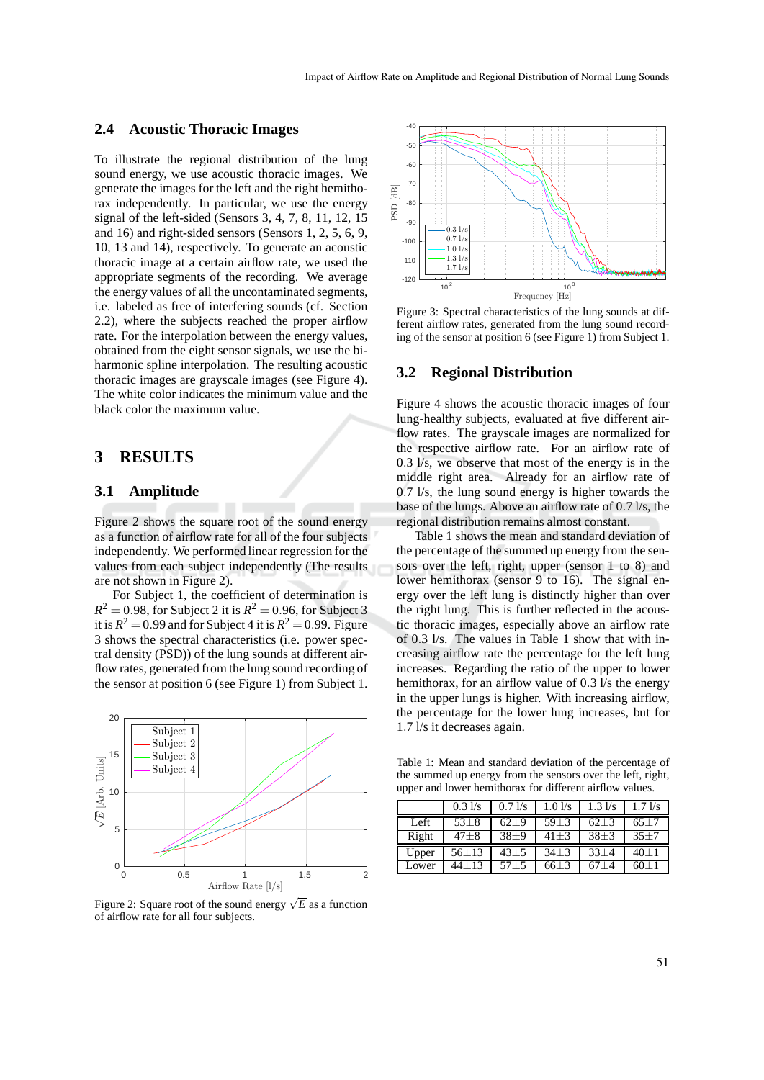### **2.4 Acoustic Thoracic Images**

To illustrate the regional distribution of the lung sound energy, we use acoustic thoracic images. We generate the images for the left and the right hemithorax independently. In particular, we use the energy signal of the left-sided (Sensors 3, 4, 7, 8, 11, 12, 15 and 16) and right-sided sensors (Sensors 1, 2, 5, 6, 9, 10, 13 and 14), respectively. To generate an acoustic thoracic image at a certain airflow rate, we used the appropriate segments of the recording. We average the energy values of all the uncontaminated segments, i.e. labeled as free of interfering sounds (cf. Section 2.2), where the subjects reached the proper airflow rate. For the interpolation between the energy values, obtained from the eight sensor signals, we use the biharmonic spline interpolation. The resulting acoustic thoracic images are grayscale images (see Figure 4). The white color indicates the minimum value and the black color the maximum value.

## **3 RESULTS**

### **3.1 Amplitude**

Figure 2 shows the square root of the sound energy as a function of airflow rate for all of the four subjects independently. We performed linear regression for the values from each subject independently (The results are not shown in Figure 2).

For Subject 1, the coefficient of determination is  $R^2 = 0.98$ , for Subject 2 it is  $R^2 = 0.96$ , for Subject 3 it is  $R^2 = 0.99$  and for Subject 4 it is  $R^2 = 0.99$ . Figure 3 shows the spectral characteristics (i.e. power spectral density (PSD)) of the lung sounds at different airflow rates, generated from the lung sound recording of the sensor at position 6 (see Figure 1) from Subject 1.



Figure 2: Square root of the sound energy  $\sqrt{E}$  as a function of airflow rate for all four subjects.



Figure 3: Spectral characteristics of the lung sounds at different airflow rates, generated from the lung sound recording of the sensor at position 6 (see Figure 1) from Subject 1.

#### **3.2 Regional Distribution**

Figure 4 shows the acoustic thoracic images of four lung-healthy subjects, evaluated at five different airflow rates. The grayscale images are normalized for the respective airflow rate. For an airflow rate of 0.3 l/s, we observe that most of the energy is in the middle right area. Already for an airflow rate of 0.7 l/s, the lung sound energy is higher towards the base of the lungs. Above an airflow rate of 0.7 l/s, the regional distribution remains almost constant.

Table 1 shows the mean and standard deviation of the percentage of the summed up energy from the sensors over the left, right, upper (sensor 1 to 8) and lower hemithorax (sensor 9 to 16). The signal energy over the left lung is distinctly higher than over the right lung. This is further reflected in the acoustic thoracic images, especially above an airflow rate of 0.3 l/s. The values in Table 1 show that with increasing airflow rate the percentage for the left lung increases. Regarding the ratio of the upper to lower hemithorax, for an airflow value of 0.3 l/s the energy in the upper lungs is higher. With increasing airflow, the percentage for the lower lung increases, but for 1.7 l/s it decreases again.

Table 1: Mean and standard deviation of the percentage of the summed up energy from the sensors over the left, right, upper and lower hemithorax for different airflow values.

|       | $0.3 \text{ Vs}$ | 0.71/s   | 1.01/s   | $1.3 \text{ } \frac{\text{1}}{\text{s}}$ | 1.71/s   |
|-------|------------------|----------|----------|------------------------------------------|----------|
| Left  | $53 + 8$         | $62+9$   | $59 + 3$ | $62 + 3$                                 | $65 + 7$ |
| Right | $47 + 8$         | $38+9$   | 41±3     | $38+3$                                   | $35 + 7$ |
| Upper | $56 + 13$        | $43 + 5$ | $34 + 3$ | $33 + 4$                                 | $40 + 1$ |
| Lower | $44 + 13$        | $57 + 5$ | $66+3$   | $67 + 4$                                 | $60+1$   |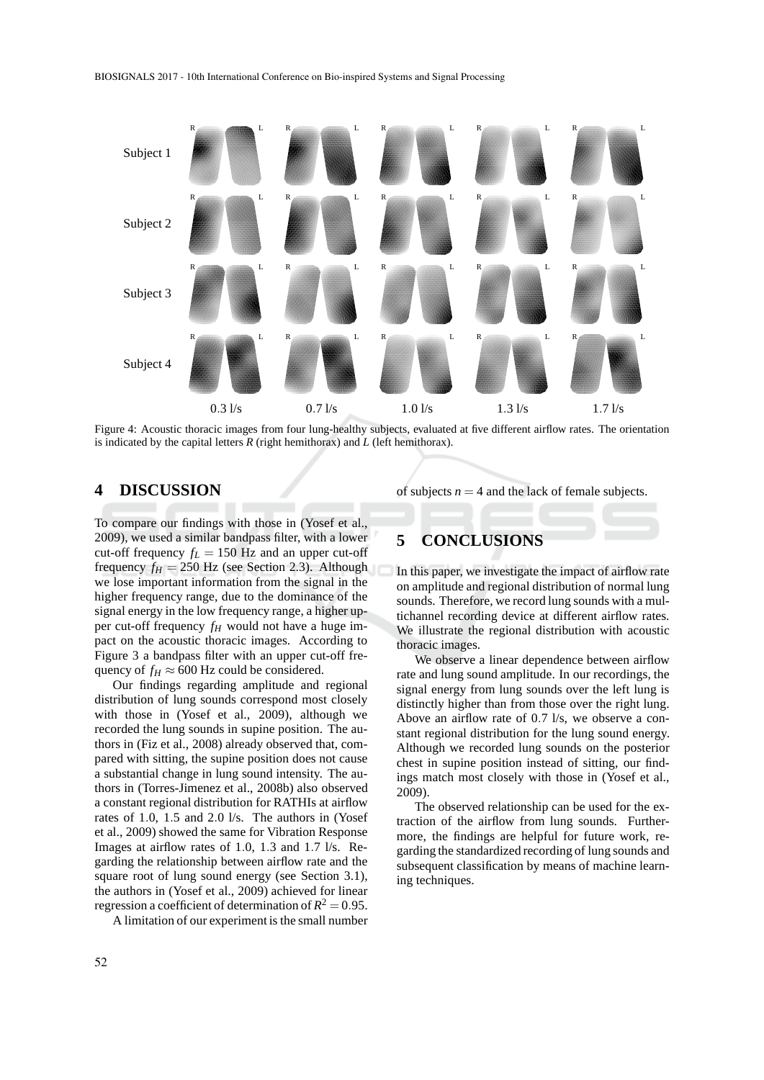

Figure 4: Acoustic thoracic images from four lung-healthy subjects, evaluated at five different airflow rates. The orientation is indicated by the capital letters  $R$  (right hemithorax) and  $L$  (left hemithorax).

# **4 DISCUSSION**

To compare our findings with those in (Yosef et al., 2009), we used a similar bandpass filter, with a lower cut-off frequency  $f_L = 150$  Hz and an upper cut-off frequency  $f_H = 250$  Hz (see Section 2.3). Although we lose important information from the signal in the higher frequency range, due to the dominance of the signal energy in the low frequency range, a higher upper cut-off frequency  $f_H$  would not have a huge impact on the acoustic thoracic images. According to Figure 3 a bandpass filter with an upper cut-off frequency of  $f_H \approx 600$  Hz could be considered.

Our findings regarding amplitude and regional distribution of lung sounds correspond most closely with those in (Yosef et al., 2009), although we recorded the lung sounds in supine position. The authors in (Fiz et al., 2008) already observed that, compared with sitting, the supine position does not cause a substantial change in lung sound intensity. The authors in (Torres-Jimenez et al., 2008b) also observed a constant regional distribution for RATHIs at airflow rates of 1.0, 1.5 and 2.0 l/s. The authors in (Yosef et al., 2009) showed the same for Vibration Response Images at airflow rates of 1.0, 1.3 and 1.7 l/s. Regarding the relationship between airflow rate and the square root of lung sound energy (see Section 3.1), the authors in (Yosef et al., 2009) achieved for linear regression a coefficient of determination of  $R^2 = 0.95$ .

A limitation of our experiment is the small number

of subjects  $n = 4$  and the lack of female subjects.

# **5 CONCLUSIONS**

In this paper, we investigate the impact of airflow rate on amplitude and regional distribution of normal lung sounds. Therefore, we record lung sounds with a multichannel recording device at different airflow rates. We illustrate the regional distribution with acoustic thoracic images.

We observe a linear dependence between airflow rate and lung sound amplitude. In our recordings, the signal energy from lung sounds over the left lung is distinctly higher than from those over the right lung. Above an airflow rate of 0.7 l/s, we observe a constant regional distribution for the lung sound energy. Although we recorded lung sounds on the posterior chest in supine position instead of sitting, our findings match most closely with those in (Yosef et al., 2009).

The observed relationship can be used for the extraction of the airflow from lung sounds. Furthermore, the findings are helpful for future work, regarding the standardized recording of lung sounds and subsequent classification by means of machine learning techniques.